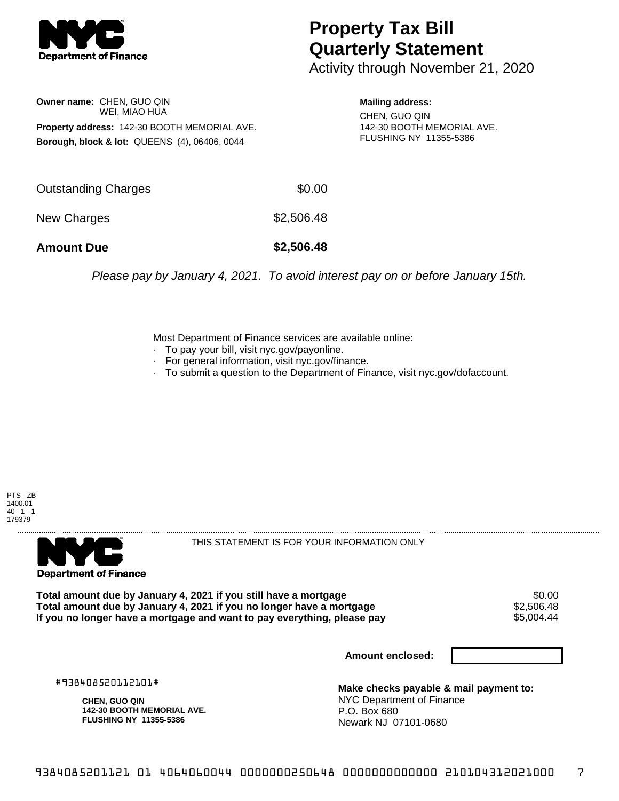

## **Property Tax Bill Quarterly Statement**

Activity through November 21, 2020

**Owner name:** CHEN, GUO QIN WEI, MIAO HUA **Property address:** 142-30 BOOTH MEMORIAL AVE. **Borough, block & lot:** QUEENS (4), 06406, 0044

**Mailing address:** CHEN, GUO QIN 142-30 BOOTH MEMORIAL AVE. FLUSHING NY 11355-5386

| <b>Amount Due</b>   | \$2,506.48 |
|---------------------|------------|
| New Charges         | \$2,506.48 |
| Outstanding Charges | \$0.00     |

Please pay by January 4, 2021. To avoid interest pay on or before January 15th.

Most Department of Finance services are available online:

- · To pay your bill, visit nyc.gov/payonline.
- For general information, visit nyc.gov/finance.
- · To submit a question to the Department of Finance, visit nyc.gov/dofaccount.

PTS - ZB 1400.01  $40 - 1 - 1$ 179379



THIS STATEMENT IS FOR YOUR INFORMATION ONLY

Total amount due by January 4, 2021 if you still have a mortgage \$0.00<br>Total amount due by January 4, 2021 if you no longer have a mortgage \$2.506.48 **Total amount due by January 4, 2021 if you no longer have a mortgage**  $$2,506.48$ **<br>If you no longer have a mortgage and want to pay everything, please pay**  $$5,004.44$ If you no longer have a mortgage and want to pay everything, please pay

**Amount enclosed:**

#938408520112101#

**CHEN, GUO QIN 142-30 BOOTH MEMORIAL AVE. FLUSHING NY 11355-5386**

**Make checks payable & mail payment to:** NYC Department of Finance P.O. Box 680 Newark NJ 07101-0680